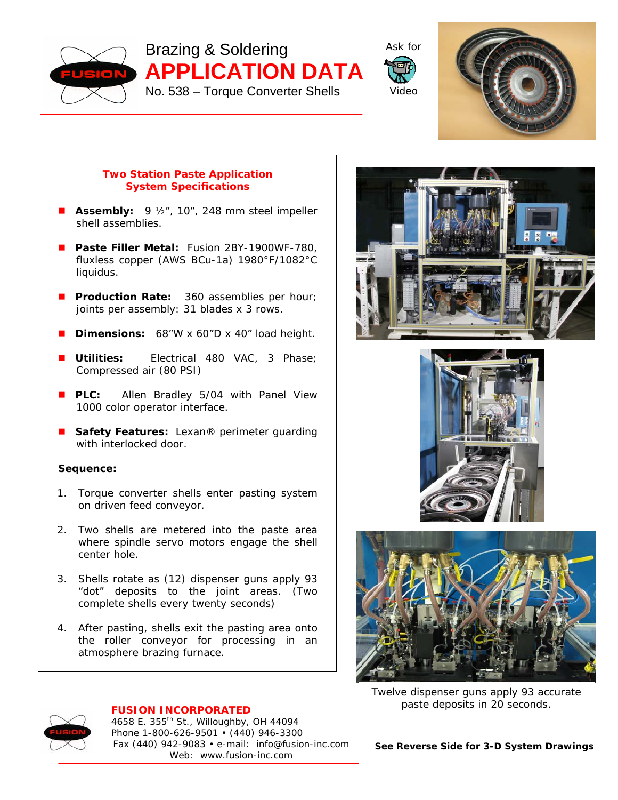

Brazing & Soldering **APPLICATION DATA**  No. 538 – Torque Converter Shells





## **Two Station Paste Application System Specifications**

- **Assembly:** 9 ½", 10", 248 mm steel impeller shell assemblies.
- **Paste Filler Metal:** Fusion 2BY-1900WF-780, fluxless copper (AWS BCu-1a) 1980°F/1082°C liquidus.
- **Production Rate:** 360 assemblies per hour; joints per assembly: 31 blades x 3 rows.
- **Dimensions:** 68"W x 60"D x 40" load height.
- **Utilities:** Electrical 480 VAC, 3 Phase; Compressed air (80 PSI)
- **PLC:** Allen Bradley 5/04 with Panel View 1000 color operator interface.
- Safety Features: Lexan<sup>®</sup> perimeter guarding with interlocked door.

## **Sequence:**

- 1. Torque converter shells enter pasting system on driven feed conveyor.
- 2. Two shells are metered into the paste area where spindle servo motors engage the shell center hole.
- 3. Shells rotate as (12) dispenser guns apply 93 "dot" deposits to the joint areas. (Two complete shells every twenty seconds)
- 4. After pasting, shells exit the pasting area onto the roller conveyor for processing in an atmosphere brazing furnace.







*Twelve dispenser guns apply 93 accurate paste deposits in 20 seconds.* 



## **FUSION INCORPORATED**

4658 E. 355th St., Willoughby, OH 44094 Phone 1-800-626-9501 • (440) 946-3300 Fax (440) 942-9083 • e-mail: info@fusion-inc.com Web: www.fusion-inc.com

*See Reverse Side for 3-D System Drawings*